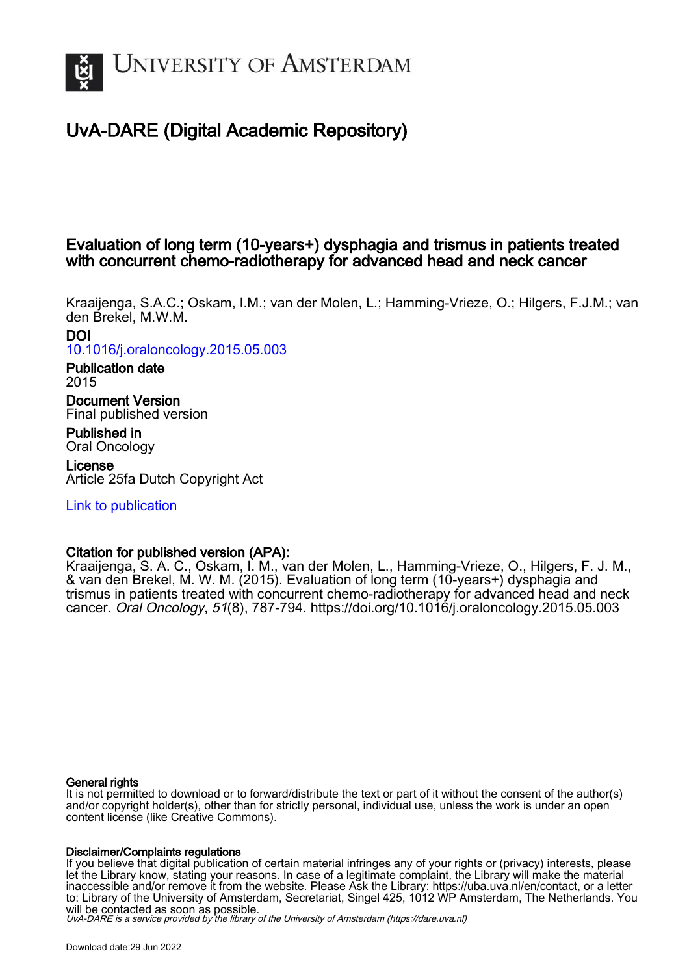

# UvA-DARE (Digital Academic Repository)

# Evaluation of long term (10-years+) dysphagia and trismus in patients treated with concurrent chemo-radiotherapy for advanced head and neck cancer

Kraaijenga, S.A.C.; Oskam, I.M.; van der Molen, L.; Hamming-Vrieze, O.; Hilgers, F.J.M.; van den Brekel, M.W.M.

DOI [10.1016/j.oraloncology.2015.05.003](https://doi.org/10.1016/j.oraloncology.2015.05.003)

Publication date 2015

Document Version Final published version

Published in Oral Oncology

License Article 25fa Dutch Copyright Act

[Link to publication](https://dare.uva.nl/personal/pure/en/publications/evaluation-of-long-term-10years-dysphagia-and-trismus-in-patients-treated-with-concurrent-chemoradiotherapy-for-advanced-head-and-neck-cancer(b0567ec0-739e-410b-9d1f-ee84fd247288).html)

# Citation for published version (APA):

Kraaijenga, S. A. C., Oskam, I. M., van der Molen, L., Hamming-Vrieze, O., Hilgers, F. J. M., & van den Brekel, M. W. M. (2015). Evaluation of long term (10-years+) dysphagia and trismus in patients treated with concurrent chemo-radiotherapy for advanced head and neck cancer. Oral Oncology, 51(8), 787-794.<https://doi.org/10.1016/j.oraloncology.2015.05.003>

# General rights

It is not permitted to download or to forward/distribute the text or part of it without the consent of the author(s) and/or copyright holder(s), other than for strictly personal, individual use, unless the work is under an open content license (like Creative Commons).

# Disclaimer/Complaints regulations

If you believe that digital publication of certain material infringes any of your rights or (privacy) interests, please let the Library know, stating your reasons. In case of a legitimate complaint, the Library will make the material inaccessible and/or remove it from the website. Please Ask the Library: https://uba.uva.nl/en/contact, or a letter to: Library of the University of Amsterdam, Secretariat, Singel 425, 1012 WP Amsterdam, The Netherlands. You will be contacted as soon as possible.

UvA-DARE is a service provided by the library of the University of Amsterdam (http*s*://dare.uva.nl)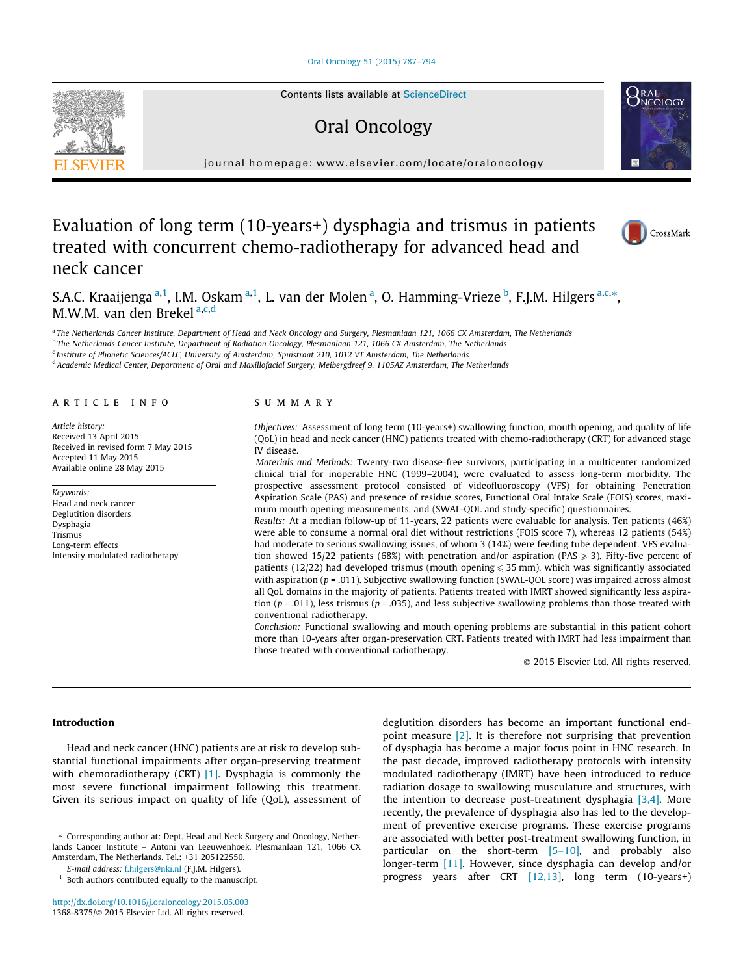#### [Oral Oncology 51 \(2015\) 787–794](http://dx.doi.org/10.1016/j.oraloncology.2015.05.003)



Contents lists available at [ScienceDirect](http://www.sciencedirect.com/science/journal/13688375)

# Oral Oncology



journal homepage: [www.elsevier.com/locate/oraloncology](http://www.elsevier.com/locate/oraloncology)

# Evaluation of long term (10-years+) dysphagia and trismus in patients treated with concurrent chemo-radiotherapy for advanced head and neck cancer



S.A.C. Kraaijenga <sup>a,1</sup>, I.M. Oskam <sup>a,1</sup>, L. van der Molen <sup>a</sup>, O. Hamming-Vrieze <sup>b</sup>, F.J.M. Hilgers <sup>a,c,</sup>\*, M.W.M. van den Brekel<sup>a,c,d</sup>

a The Netherlands Cancer Institute, Department of Head and Neck Oncology and Surgery, Plesmanlaan 121, 1066 CX Amsterdam, The Netherlands b The Netherlands Cancer Institute, Department of Radiation Oncology, Plesmanlaan 121, 1066 CX Amsterdam, The Netherlands <sup>c</sup> Institute of Phonetic Sciences/ACLC, University of Amsterdam, Spuistraat 210, 1012 VT Amsterdam, The Netherlands

<sup>d</sup> Academic Medical Center, Department of Oral and Maxillofacial Surgery, Meibergdreef 9, 1105AZ Amsterdam, The Netherlands

# article info

Article history: Received 13 April 2015 Received in revised form 7 May 2015 Accepted 11 May 2015 Available online 28 May 2015

Keywords: Head and neck cancer Deglutition disorders Dysphagia Trismus Long-term effects Intensity modulated radiotherapy

# SUMMARY

Objectives: Assessment of long term (10-years+) swallowing function, mouth opening, and quality of life (QoL) in head and neck cancer (HNC) patients treated with chemo-radiotherapy (CRT) for advanced stage IV disease.

Materials and Methods: Twenty-two disease-free survivors, participating in a multicenter randomized clinical trial for inoperable HNC (1999–2004), were evaluated to assess long-term morbidity. The prospective assessment protocol consisted of videofluoroscopy (VFS) for obtaining Penetration Aspiration Scale (PAS) and presence of residue scores, Functional Oral Intake Scale (FOIS) scores, maximum mouth opening measurements, and (SWAL-QOL and study-specific) questionnaires.

Results: At a median follow-up of 11-years, 22 patients were evaluable for analysis. Ten patients (46%) were able to consume a normal oral diet without restrictions (FOIS score 7), whereas 12 patients (54%) had moderate to serious swallowing issues, of whom 3 (14%) were feeding tube dependent. VFS evaluation showed 15/22 patients (68%) with penetration and/or aspiration (PAS  $\geq$  3). Fifty-five percent of patients (12/22) had developed trismus (mouth opening  $\leqslant$  35 mm), which was significantly associated with aspiration (p = .011). Subjective swallowing function (SWAL-QOL score) was impaired across almost all QoL domains in the majority of patients. Patients treated with IMRT showed significantly less aspiration ( $p = .011$ ), less trismus ( $p = .035$ ), and less subjective swallowing problems than those treated with conventional radiotherapy.

Conclusion: Functional swallowing and mouth opening problems are substantial in this patient cohort more than 10-years after organ-preservation CRT. Patients treated with IMRT had less impairment than those treated with conventional radiotherapy.

- 2015 Elsevier Ltd. All rights reserved.

## Introduction

Head and neck cancer (HNC) patients are at risk to develop substantial functional impairments after organ-preserving treatment with chemoradiotherapy (CRT) [\[1\].](#page-7-0) Dysphagia is commonly the most severe functional impairment following this treatment. Given its serious impact on quality of life (QoL), assessment of deglutition disorders has become an important functional endpoint measure [\[2\].](#page-7-0) It is therefore not surprising that prevention of dysphagia has become a major focus point in HNC research. In the past decade, improved radiotherapy protocols with intensity modulated radiotherapy (IMRT) have been introduced to reduce radiation dosage to swallowing musculature and structures, with the intention to decrease post-treatment dysphagia [\[3,4\].](#page-7-0) More recently, the prevalence of dysphagia also has led to the development of preventive exercise programs. These exercise programs are associated with better post-treatment swallowing function, in particular on the short-term [\[5–10\],](#page-7-0) and probably also longer-term [\[11\]](#page-7-0). However, since dysphagia can develop and/or progress years after CRT [\[12,13\],](#page-7-0) long term (10-years+)

<sup>⇑</sup> Corresponding author at: Dept. Head and Neck Surgery and Oncology, Netherlands Cancer Institute – Antoni van Leeuwenhoek, Plesmanlaan 121, 1066 CX Amsterdam, The Netherlands. Tel.: +31 205122550.

E-mail address: [f.hilgers@nki.nl](mailto:f.hilgers@nki.nl) (F.J.M. Hilgers).

 $1$  Both authors contributed equally to the manuscript.

<http://dx.doi.org/10.1016/j.oraloncology.2015.05.003> 1368-8375/© 2015 Elsevier Ltd. All rights reserved.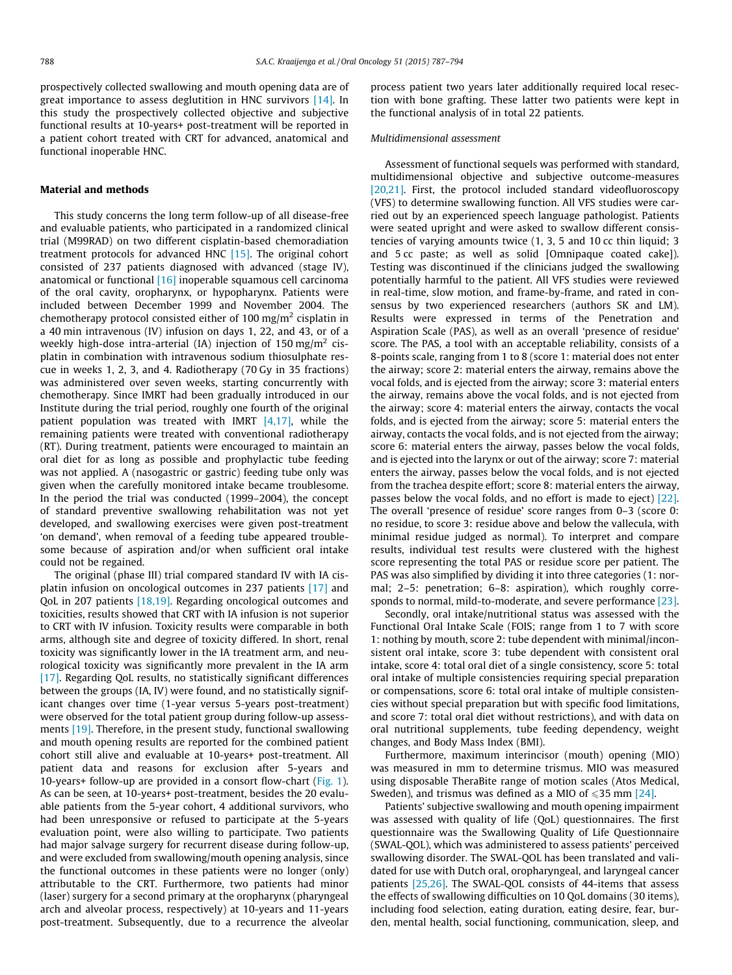prospectively collected swallowing and mouth opening data are of great importance to assess deglutition in HNC survivors [\[14\].](#page-7-0) In this study the prospectively collected objective and subjective functional results at 10-years+ post-treatment will be reported in a patient cohort treated with CRT for advanced, anatomical and functional inoperable HNC.

### Material and methods

This study concerns the long term follow-up of all disease-free and evaluable patients, who participated in a randomized clinical trial (M99RAD) on two different cisplatin-based chemoradiation treatment protocols for advanced HNC [\[15\]](#page-7-0). The original cohort consisted of 237 patients diagnosed with advanced (stage IV), anatomical or functional [\[16\]](#page-7-0) inoperable squamous cell carcinoma of the oral cavity, oropharynx, or hypopharynx. Patients were included between December 1999 and November 2004. The chemotherapy protocol consisted either of 100 mg/m<sup>2</sup> cisplatin in a 40 min intravenous (IV) infusion on days 1, 22, and 43, or of a weekly high-dose intra-arterial (IA) injection of  $150 \text{ mg/m}^2$  cisplatin in combination with intravenous sodium thiosulphate rescue in weeks 1, 2, 3, and 4. Radiotherapy (70 Gy in 35 fractions) was administered over seven weeks, starting concurrently with chemotherapy. Since IMRT had been gradually introduced in our Institute during the trial period, roughly one fourth of the original patient population was treated with IMRT  $[4,17]$ , while the remaining patients were treated with conventional radiotherapy (RT). During treatment, patients were encouraged to maintain an oral diet for as long as possible and prophylactic tube feeding was not applied. A (nasogastric or gastric) feeding tube only was given when the carefully monitored intake became troublesome. In the period the trial was conducted (1999–2004), the concept of standard preventive swallowing rehabilitation was not yet developed, and swallowing exercises were given post-treatment 'on demand', when removal of a feeding tube appeared troublesome because of aspiration and/or when sufficient oral intake could not be regained.

The original (phase III) trial compared standard IV with IA cisplatin infusion on oncological outcomes in 237 patients [\[17\]](#page-7-0) and QoL in 207 patients [\[18,19\]](#page-7-0). Regarding oncological outcomes and toxicities, results showed that CRT with IA infusion is not superior to CRT with IV infusion. Toxicity results were comparable in both arms, although site and degree of toxicity differed. In short, renal toxicity was significantly lower in the IA treatment arm, and neurological toxicity was significantly more prevalent in the IA arm [\[17\]](#page-7-0). Regarding QoL results, no statistically significant differences between the groups (IA, IV) were found, and no statistically significant changes over time (1-year versus 5-years post-treatment) were observed for the total patient group during follow-up assessments [\[19\]](#page-7-0). Therefore, in the present study, functional swallowing and mouth opening results are reported for the combined patient cohort still alive and evaluable at 10-years+ post-treatment. All patient data and reasons for exclusion after 5-years and 10-years+ follow-up are provided in a consort flow-chart [\(Fig. 1\)](#page-3-0). As can be seen, at 10-years+ post-treatment, besides the 20 evaluable patients from the 5-year cohort, 4 additional survivors, who had been unresponsive or refused to participate at the 5-years evaluation point, were also willing to participate. Two patients had major salvage surgery for recurrent disease during follow-up, and were excluded from swallowing/mouth opening analysis, since the functional outcomes in these patients were no longer (only) attributable to the CRT. Furthermore, two patients had minor (laser) surgery for a second primary at the oropharynx (pharyngeal arch and alveolar process, respectively) at 10-years and 11-years post-treatment. Subsequently, due to a recurrence the alveolar process patient two years later additionally required local resection with bone grafting. These latter two patients were kept in the functional analysis of in total 22 patients.

### Multidimensional assessment

Assessment of functional sequels was performed with standard, multidimensional objective and subjective outcome-measures [\[20,21\]](#page-7-0). First, the protocol included standard videofluoroscopy (VFS) to determine swallowing function. All VFS studies were carried out by an experienced speech language pathologist. Patients were seated upright and were asked to swallow different consistencies of varying amounts twice (1, 3, 5 and 10 cc thin liquid; 3 and 5 cc paste; as well as solid [Omnipaque coated cake]). Testing was discontinued if the clinicians judged the swallowing potentially harmful to the patient. All VFS studies were reviewed in real-time, slow motion, and frame-by-frame, and rated in consensus by two experienced researchers (authors SK and LM). Results were expressed in terms of the Penetration and Aspiration Scale (PAS), as well as an overall 'presence of residue' score. The PAS, a tool with an acceptable reliability, consists of a 8-points scale, ranging from 1 to 8 (score 1: material does not enter the airway; score 2: material enters the airway, remains above the vocal folds, and is ejected from the airway; score 3: material enters the airway, remains above the vocal folds, and is not ejected from the airway; score 4: material enters the airway, contacts the vocal folds, and is ejected from the airway; score 5: material enters the airway, contacts the vocal folds, and is not ejected from the airway; score 6: material enters the airway, passes below the vocal folds, and is ejected into the larynx or out of the airway; score 7: material enters the airway, passes below the vocal folds, and is not ejected from the trachea despite effort; score 8: material enters the airway, passes below the vocal folds, and no effort is made to eject) [\[22\].](#page-7-0) The overall 'presence of residue' score ranges from 0–3 (score 0: no residue, to score 3: residue above and below the vallecula, with minimal residue judged as normal). To interpret and compare results, individual test results were clustered with the highest score representing the total PAS or residue score per patient. The PAS was also simplified by dividing it into three categories (1: normal; 2–5: penetration; 6–8: aspiration), which roughly corresponds to normal, mild-to-moderate, and severe performance [\[23\].](#page-7-0)

Secondly, oral intake/nutritional status was assessed with the Functional Oral Intake Scale (FOIS; range from 1 to 7 with score 1: nothing by mouth, score 2: tube dependent with minimal/inconsistent oral intake, score 3: tube dependent with consistent oral intake, score 4: total oral diet of a single consistency, score 5: total oral intake of multiple consistencies requiring special preparation or compensations, score 6: total oral intake of multiple consistencies without special preparation but with specific food limitations, and score 7: total oral diet without restrictions), and with data on oral nutritional supplements, tube feeding dependency, weight changes, and Body Mass Index (BMI).

Furthermore, maximum interincisor (mouth) opening (MIO) was measured in mm to determine trismus. MIO was measured using disposable TheraBite range of motion scales (Atos Medical, Sweden), and trismus was defined as a MIO of  $\leq 35$  mm [\[24\].](#page-7-0)

Patients' subjective swallowing and mouth opening impairment was assessed with quality of life (QoL) questionnaires. The first questionnaire was the Swallowing Quality of Life Questionnaire (SWAL-QOL), which was administered to assess patients' perceived swallowing disorder. The SWAL-QOL has been translated and validated for use with Dutch oral, oropharyngeal, and laryngeal cancer patients [\[25,26\]](#page-7-0). The SWAL-QOL consists of 44-items that assess the effects of swallowing difficulties on 10 QoL domains (30 items), including food selection, eating duration, eating desire, fear, burden, mental health, social functioning, communication, sleep, and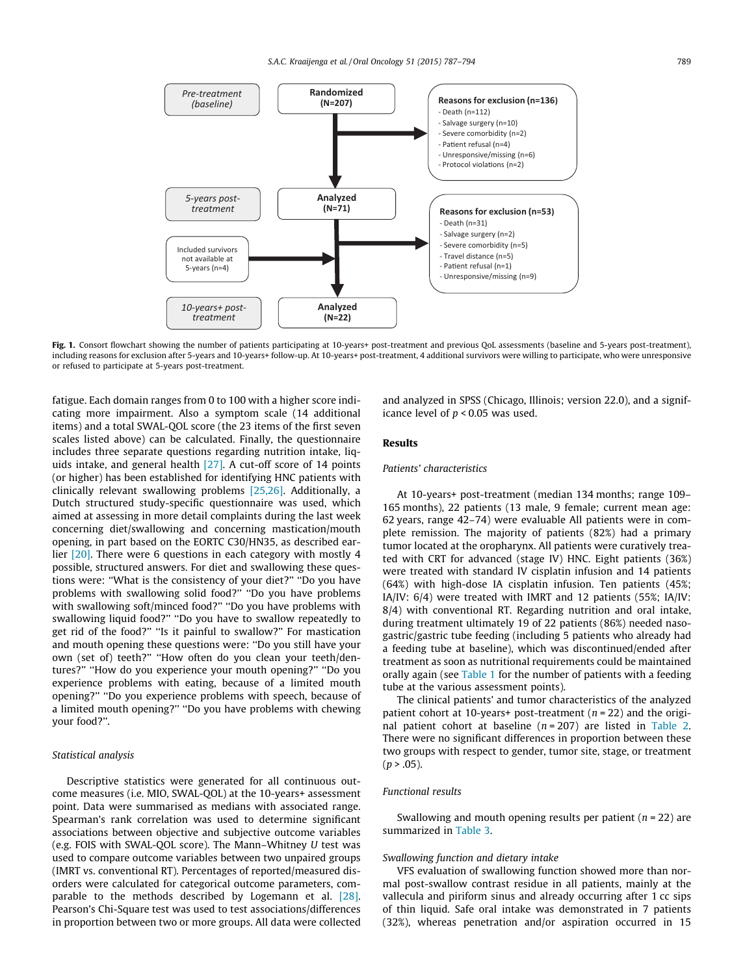<span id="page-3-0"></span>

Fig. 1. Consort flowchart showing the number of patients participating at 10-years+ post-treatment and previous OoL assessments (baseline and 5-years post-treatment), including reasons for exclusion after 5-years and 10-years+ follow-up. At 10-years+ post-treatment, 4 additional survivors were willing to participate, who were unresponsive or refused to participate at 5-years post-treatment.

fatigue. Each domain ranges from 0 to 100 with a higher score indicating more impairment. Also a symptom scale (14 additional items) and a total SWAL-QOL score (the 23 items of the first seven scales listed above) can be calculated. Finally, the questionnaire includes three separate questions regarding nutrition intake, liquids intake, and general health [\[27\]](#page-7-0). A cut-off score of 14 points (or higher) has been established for identifying HNC patients with clinically relevant swallowing problems [\[25,26\]](#page-7-0). Additionally, a Dutch structured study-specific questionnaire was used, which aimed at assessing in more detail complaints during the last week concerning diet/swallowing and concerning mastication/mouth opening, in part based on the EORTC C30/HN35, as described earlier [\[20\].](#page-7-0) There were 6 questions in each category with mostly 4 possible, structured answers. For diet and swallowing these questions were: ''What is the consistency of your diet?'' ''Do you have problems with swallowing solid food?'' ''Do you have problems with swallowing soft/minced food?'' ''Do you have problems with swallowing liquid food?'' ''Do you have to swallow repeatedly to get rid of the food?'' ''Is it painful to swallow?'' For mastication and mouth opening these questions were: ''Do you still have your own (set of) teeth?'' ''How often do you clean your teeth/dentures?'' ''How do you experience your mouth opening?'' ''Do you experience problems with eating, because of a limited mouth opening?'' ''Do you experience problems with speech, because of a limited mouth opening?'' ''Do you have problems with chewing your food?''.

# Statistical analysis

Descriptive statistics were generated for all continuous outcome measures (i.e. MIO, SWAL-QOL) at the 10-years+ assessment point. Data were summarised as medians with associated range. Spearman's rank correlation was used to determine significant associations between objective and subjective outcome variables (e.g. FOIS with SWAL-QOL score). The Mann–Whitney U test was used to compare outcome variables between two unpaired groups (IMRT vs. conventional RT). Percentages of reported/measured disorders were calculated for categorical outcome parameters, comparable to the methods described by Logemann et al. [\[28\].](#page-7-0) Pearson's Chi-Square test was used to test associations/differences in proportion between two or more groups. All data were collected and analyzed in SPSS (Chicago, Illinois; version 22.0), and a significance level of  $p < 0.05$  was used.

## Results

# Patients' characteristics

At 10-years+ post-treatment (median 134 months; range 109– 165 months), 22 patients (13 male, 9 female; current mean age: 62 years, range 42–74) were evaluable All patients were in complete remission. The majority of patients (82%) had a primary tumor located at the oropharynx. All patients were curatively treated with CRT for advanced (stage IV) HNC. Eight patients (36%) were treated with standard IV cisplatin infusion and 14 patients (64%) with high-dose IA cisplatin infusion. Ten patients (45%; IA/IV: 6/4) were treated with IMRT and 12 patients (55%; IA/IV: 8/4) with conventional RT. Regarding nutrition and oral intake, during treatment ultimately 19 of 22 patients (86%) needed nasogastric/gastric tube feeding (including 5 patients who already had a feeding tube at baseline), which was discontinued/ended after treatment as soon as nutritional requirements could be maintained orally again (see [Table 1](#page-4-0) for the number of patients with a feeding tube at the various assessment points).

The clinical patients' and tumor characteristics of the analyzed patient cohort at 10-years+ post-treatment ( $n = 22$ ) and the original patient cohort at baseline  $(n = 207)$  are listed in [Table 2.](#page-4-0) There were no significant differences in proportion between these two groups with respect to gender, tumor site, stage, or treatment  $(p > .05)$ .

#### Functional results

Swallowing and mouth opening results per patient ( $n = 22$ ) are summarized in [Table 3.](#page-5-0)

### Swallowing function and dietary intake

VFS evaluation of swallowing function showed more than normal post-swallow contrast residue in all patients, mainly at the vallecula and piriform sinus and already occurring after 1 cc sips of thin liquid. Safe oral intake was demonstrated in 7 patients (32%), whereas penetration and/or aspiration occurred in 15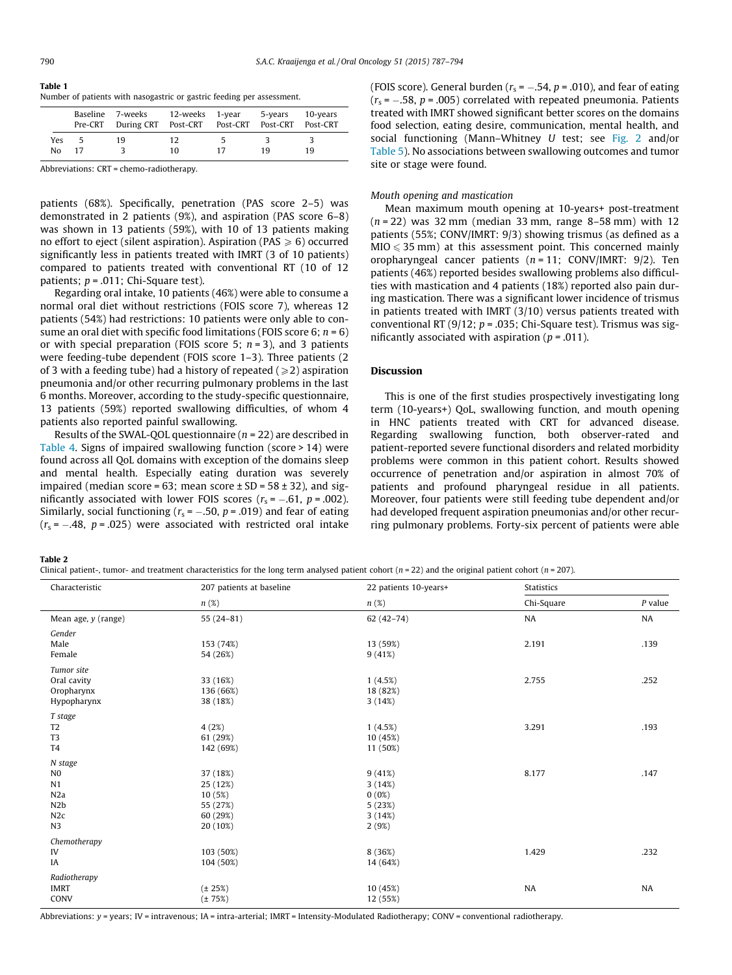<span id="page-4-0"></span>Table 1 Number of patients with nasogastric or gastric feeding per assessment.

|            | Baseline<br>Pre-CRT | 7-weeks<br>During CRT Post-CRT Post-CRT Post-CRT | 12-weeks 1-year |    | 5-years | 10-years<br>Post-CRT |
|------------|---------------------|--------------------------------------------------|-----------------|----|---------|----------------------|
| Yes.<br>No | 17                  | 19                                               | 12<br>10        | 17 | 19      | 19                   |

Abbreviations: CRT = chemo-radiotherapy.

patients (68%). Specifically, penetration (PAS score 2–5) was demonstrated in 2 patients (9%), and aspiration (PAS score 6–8) was shown in 13 patients (59%), with 10 of 13 patients making no effort to eject (silent aspiration). Aspiration (PAS  $\geq 6$ ) occurred significantly less in patients treated with IMRT (3 of 10 patients) compared to patients treated with conventional RT (10 of 12 patients;  $p = .011$ ; Chi-Square test).

Regarding oral intake, 10 patients (46%) were able to consume a normal oral diet without restrictions (FOIS score 7), whereas 12 patients (54%) had restrictions: 10 patients were only able to consume an oral diet with specific food limitations (FOIS score 6;  $n = 6$ ) or with special preparation (FOIS score 5;  $n = 3$ ), and 3 patients were feeding-tube dependent (FOIS score 1–3). Three patients (2 of 3 with a feeding tube) had a history of repeated ( $\geq 2$ ) aspiration pneumonia and/or other recurring pulmonary problems in the last 6 months. Moreover, according to the study-specific questionnaire, 13 patients (59%) reported swallowing difficulties, of whom 4 patients also reported painful swallowing.

Results of the SWAL-QOL questionnaire ( $n = 22$ ) are described in [Table 4](#page-6-0). Signs of impaired swallowing function (score > 14) were found across all QoL domains with exception of the domains sleep and mental health. Especially eating duration was severely impaired (median score = 63; mean score  $\pm$  SD = 58  $\pm$  32), and significantly associated with lower FOIS scores ( $r_{\rm s}$ = –.61, p = .002). Similarly, social functioning ( $r_{\rm s}$  = –.50,  $p$  = .019) and fear of eating ( $r_{\rm s}$  = –.48,  $p$  = .025) were associated with restricted oral intake

(FOIS score). General burden ( $r_s$  =  $-.54$ ,  $p$  = .010), and fear of eating  $(r<sub>s</sub> = -.58, p = .005)$  correlated with repeated pneumonia. Patients treated with IMRT showed significant better scores on the domains food selection, eating desire, communication, mental health, and social functioning (Mann–Whitney U test; see [Fig. 2](#page-6-0) and/or [Table 5\)](#page-6-0). No associations between swallowing outcomes and tumor site or stage were found.

#### Mouth opening and mastication

Mean maximum mouth opening at 10-years+ post-treatment  $(n = 22)$  was 32 mm (median 33 mm, range 8–58 mm) with 12 patients (55%; CONV/IMRT: 9/3) showing trismus (as defined as a  $MIO \leq 35$  mm) at this assessment point. This concerned mainly oropharyngeal cancer patients  $(n = 11; CONV/IMRT: 9/2)$ . Ten patients (46%) reported besides swallowing problems also difficulties with mastication and 4 patients (18%) reported also pain during mastication. There was a significant lower incidence of trismus in patients treated with IMRT (3/10) versus patients treated with conventional RT (9/12;  $p = .035$ ; Chi-Square test). Trismus was significantly associated with aspiration ( $p = .011$ ).

## **Discussion**

This is one of the first studies prospectively investigating long term (10-years+) QoL, swallowing function, and mouth opening in HNC patients treated with CRT for advanced disease. Regarding swallowing function, both observer-rated and patient-reported severe functional disorders and related morbidity problems were common in this patient cohort. Results showed occurrence of penetration and/or aspiration in almost 70% of patients and profound pharyngeal residue in all patients. Moreover, four patients were still feeding tube dependent and/or had developed frequent aspiration pneumonias and/or other recurring pulmonary problems. Forty-six percent of patients were able

Table 2

Clinical patient-, tumor- and treatment characteristics for the long term analysed patient cohort ( $n = 22$ ) and the original patient cohort ( $n = 207$ ).

| Characteristic        | 207 patients at baseline | 22 patients 10-years+ | <b>Statistics</b> |           |  |  |
|-----------------------|--------------------------|-----------------------|-------------------|-----------|--|--|
|                       | n(%)                     | n(%)                  | Chi-Square        | $P$ value |  |  |
| Mean age, $y$ (range) | $55(24-81)$              | $62(42-74)$           | NA                | NA        |  |  |
| Gender                |                          |                       |                   |           |  |  |
| Male                  | 153 (74%)                | 13 (59%)              | 2.191             | .139      |  |  |
| Female                | 54 (26%)                 | 9(41%)                |                   |           |  |  |
| Tumor site            |                          |                       |                   |           |  |  |
| Oral cavity           | 33 (16%)                 | 1(4.5%)               | 2.755             | .252      |  |  |
| Oropharynx            | 136 (66%)                | 18 (82%)              |                   |           |  |  |
| Hypopharynx           | 38 (18%)                 | 3(14%)                |                   |           |  |  |
| T stage               |                          |                       |                   |           |  |  |
| T <sub>2</sub>        | 4(2%)                    | 1(4.5%)               | 3.291             | .193      |  |  |
| T <sub>3</sub>        | 61 (29%)                 | 10 (45%)              |                   |           |  |  |
| T <sub>4</sub>        | 142 (69%)                | 11 (50%)              |                   |           |  |  |
| N stage               |                          |                       |                   |           |  |  |
| N <sub>0</sub>        | 37 (18%)                 | 9(41%)                | 8.177             | .147      |  |  |
| N1                    | 25 (12%)                 | 3(14%)                |                   |           |  |  |
| N2a                   | 10(5%)                   | 0(0%)                 |                   |           |  |  |
| N2b                   | 55 (27%)                 | 5(23%)                |                   |           |  |  |
| N2c                   | 60 (29%)                 | 3(14%)                |                   |           |  |  |
| N3                    | 20 (10%)                 | 2(9%)                 |                   |           |  |  |
| Chemotherapy          |                          |                       |                   |           |  |  |
| IV                    | 103 (50%)                | 8(36%)                | 1.429             | .232      |  |  |
| IA                    | 104 (50%)                | 14 (64%)              |                   |           |  |  |
| Radiotherapy          |                          |                       |                   |           |  |  |
| <b>IMRT</b>           | $(\pm 25%)$              | 10 (45%)              | NA                | NA        |  |  |
| CONV                  | $(\pm 75%)$              | 12 (55%)              |                   |           |  |  |

Abbreviations: y = years; IV = intravenous; IA = intra-arterial; IMRT = Intensity-Modulated Radiotherapy; CONV = conventional radiotherapy.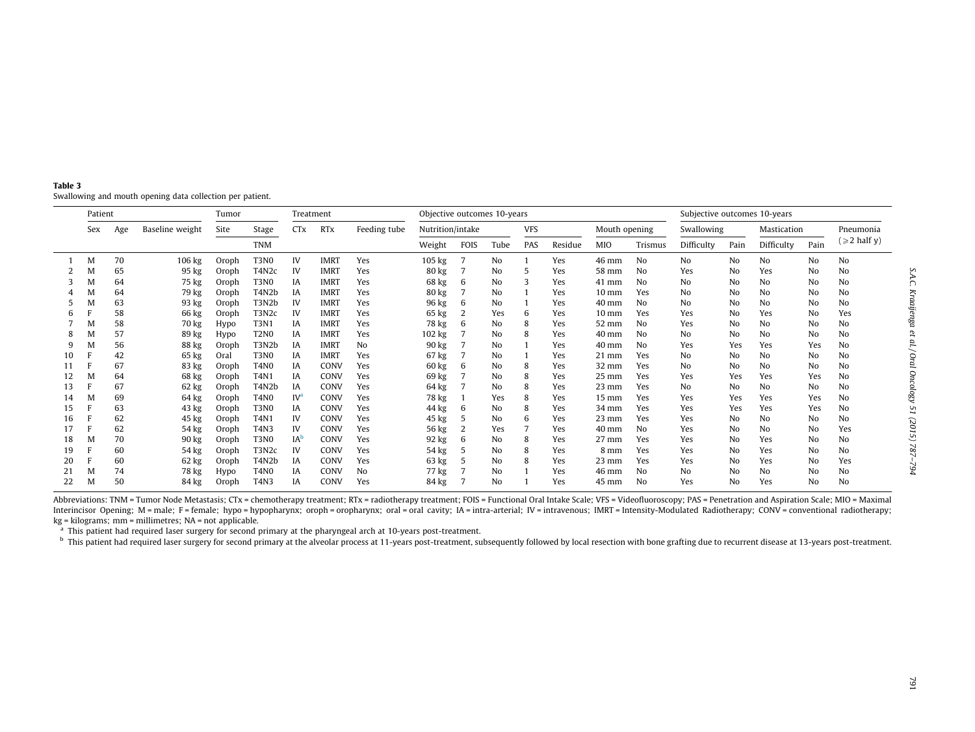<span id="page-5-0"></span>Table 3Swallowing and mouth opening data collection per patient.

| Patient |     | Tumor<br>Treatment |                 |       | Objective outcomes 10-years     |                       |             |              |                  |             | Subjective outcomes 10-years |            |         |                 |         |                |                |             |      |                   |
|---------|-----|--------------------|-----------------|-------|---------------------------------|-----------------------|-------------|--------------|------------------|-------------|------------------------------|------------|---------|-----------------|---------|----------------|----------------|-------------|------|-------------------|
|         | Sex | Age                | Baseline weight | Site  | Stage                           | <b>CT<sub>x</sub></b> | <b>RTx</b>  | Feeding tube | Nutrition/intake |             |                              | <b>VFS</b> |         | Mouth opening   |         | Swallowing     |                | Mastication |      | Pneumonia         |
|         |     |                    |                 |       | <b>TNM</b>                      |                       |             |              | Weight           | <b>FOIS</b> | Tube                         | PAS        | Residue | <b>MIO</b>      | Trismus | Difficulty     | Pain           | Difficulty  | Pain | $(\geq 2$ half y) |
|         | M   | 70                 | 106 kg          | Oroph | T <sub>3</sub> N <sub>0</sub>   | IV                    | <b>IMRT</b> | Yes          | 105 kg           |             | No                           |            | Yes     | 46 mm           | No      | N <sub>o</sub> | No             | No          | No   | No                |
|         | M   | 65                 | 95 kg           | Oroph | T4N2c                           | IV                    | <b>IMRT</b> | Yes          | 80 kg            |             | No                           | 5          | Yes     | 58 mm           | No      | Yes            | N <sub>0</sub> | Yes         | No   | No                |
|         | M   | 64                 | 75 kg           | Oroph | T <sub>3</sub> N <sub>0</sub>   | IA                    | <b>IMRT</b> | Yes          | 68 kg            | 6           | N <sub>o</sub>               | 3          | Yes     | $41$ mm         | No      | No             | N <sub>0</sub> | No          | No   | No                |
|         | M   | 64                 | 79 kg           | Oroph | T <sub>4</sub> N <sub>2</sub> b | IA                    | <b>IMRT</b> | Yes          | 80 kg            |             | N <sub>o</sub>               |            | Yes     | $10 \text{ mm}$ | Yes     | No             | No             | No          | No   | No                |
|         | M   | 63                 | 93 kg           | Oroph | T3N2b                           | IV                    | <b>IMRT</b> | Yes          | 96 kg            | 6           | N <sub>o</sub>               |            | Yes     | $40$ mm         | No      | No             | No             | No          | No   | No                |
|         |     | 58                 | 66 kg           | Oroph | T3N2c                           | IV                    | <b>IMRT</b> | Yes          | 65 kg            |             | Yes                          | 6          | Yes     | $10 \text{ mm}$ | Yes     | Yes            | No             | Yes         | No   | Yes               |
|         | M   | 58                 | 70 kg           | Hypo  | <b>T3N1</b>                     | ΙA                    | <b>IMRT</b> | Yes          | 78 kg            | 6           | No                           | 8          | Yes     | $52 \text{ mm}$ | No      | Yes            | No             | No          | No   | No                |
|         | M   | 57                 | 89 kg           | Hypo  | <b>T2N0</b>                     | IA                    | <b>IMRT</b> | Yes          | 102 kg           |             | No                           | 8          | Yes     | $40 \text{ mm}$ | No      | No             | No             | No          | No   | No                |
|         | M   | 56                 | 88 kg           | Oroph | T3N2b                           | ΙA                    | <b>IMRT</b> | No           | 90 kg            |             | No                           |            | Yes     | $40 \text{ mm}$ | No      | Yes            | Yes            | Yes         | Yes  | No                |
| 10      |     | 42                 | 65 kg           | Oral  | T <sub>3</sub> N <sub>0</sub>   | ΙA                    | <b>IMRT</b> | Yes          | 67 kg            |             | N <sub>o</sub>               |            | Yes     | $21$ mm         | Yes     | No             | No             | No          | No   | No                |
| 11      |     | 67                 | 83 kg           | Oroph | <b>T4N0</b>                     | IA                    | CONV        | Yes          | 60 kg            | 6           | No                           | 8          | Yes     | $32 \text{ mm}$ | Yes     | No             | N <sub>0</sub> | No          | No   | No                |
| 12      | M   | 64                 | 68 kg           | Oroph | <b>T4N1</b>                     | IA                    | CONV        | Yes          | 69 kg            |             | N <sub>0</sub>               | 8          | Yes     | $25 \text{ mm}$ | Yes     | Yes            | Yes            | Yes         | Yes  | No                |
| 13      |     | 67                 | 62 kg           | Oroph | T4N2b                           | IA                    | <b>CONV</b> | Yes          | 64 kg            |             | No                           | 8          | Yes     | $23$ mm         | Yes     | No             | No             | No          | No   | No                |
| 14      | м   | 69                 | 64 kg           | Oroph | <b>T4N0</b>                     | $IV^{\circ}$          | <b>CONV</b> | Yes          | 78 kg            |             | Yes                          | 8          | Yes     | $15 \text{ mm}$ | Yes     | Yes            | Yes            | Yes         | Yes  | No                |
| 15      |     | 63                 | 43 kg           | Oroph | T <sub>3</sub> N <sub>0</sub>   | IA                    | CONV        | Yes          | 44 kg            | 6           | No                           | 8          | Yes     | 34 mm           | Yes     | Yes            | Yes            | Yes         | Yes  | No                |
| 16      |     | 62                 | 45 kg           | Oroph | T4N1                            | IV                    | CONV        | Yes          | 45 kg            | 5           | No                           | 6          | Yes     | $23 \text{ mm}$ | Yes     | Yes            | No             | No          | No   | No                |
| 17      |     | 62                 | 54 kg           | Oroph | T4N3                            | IV                    | CONV        | Yes          | 56 kg            |             | Yes                          |            | Yes     | $40 \text{ mm}$ | No      | Yes            | No             | No          | No   | Yes               |
| 18      | M   | 70                 | 90 kg           | Oroph | <b>T3N0</b>                     | IA <sup>b</sup>       | CONV        | Yes          | 92 kg            | 6           | No                           | 8          | Yes     | $27 \text{ mm}$ | Yes     | Yes            | No             | Yes         | No   | No                |
| 19      |     | 60                 | 54 kg           | Oroph | T3N2c                           | IV                    | CONV        | Yes          | 54 kg            |             | N <sub>0</sub>               | 8          | Yes     | 8 mm            | Yes     | Yes            | No             | Yes         | No   | No                |
| 20      |     | 60                 | 62 kg           | Oroph | T4N2b                           | IA                    | CONV        | Yes          | 63 kg            |             | No                           | 8          | Yes     | $23$ mm         | Yes     | Yes            | No             | Yes         | No   | Yes               |
| 21      | M   | 74                 | 78 kg           | Hypo  | <b>T4N0</b>                     | IA                    | CONV        | No           | 77 kg            |             | No                           |            | Yes     | 46 mm           | No      | No             | No             | No          | No   | No                |
| 22      | M   | 50                 | 84 kg           | Oroph | <b>T4N3</b>                     | IA                    | CONV        | Yes          | 84 kg            |             | No                           |            | Yes     | $45 \text{ mm}$ | No      | Yes            | No             | Yes         | No   | No                |

Abbreviations: TNM = Tumor Node Metastasis; CTx = chemotherapy treatment; RTx = radiotherapy treatment; FOIS = Functional Oral Intake Scale; VFS = Videofluoroscopy; PAS = Penetration and Aspiration Scale; MIO = Maximal Interincisor Opening; M = male; F = female; hypo = hypopharynx; oroph = oropharynx; oral = oral cavity; IA = intra-arterial; IV = intravenous; IMRT = Intensity-Modulated Radiotherapy; CONV = conventional radiotherapy;  $kg = kilograms$ ; mm = millimetres; NA = not applicable.

<sup>a</sup> This patient had required laser surgery for second primary at the pharyngeal arch at 10-years post-treatment.

<sup>b</sup> This patient had required laser surgery for second primary at the alveolar process at 11-years post-treatment, subsequently followed by local resection with bone grafting due to recurrent disease at 13-years post-treat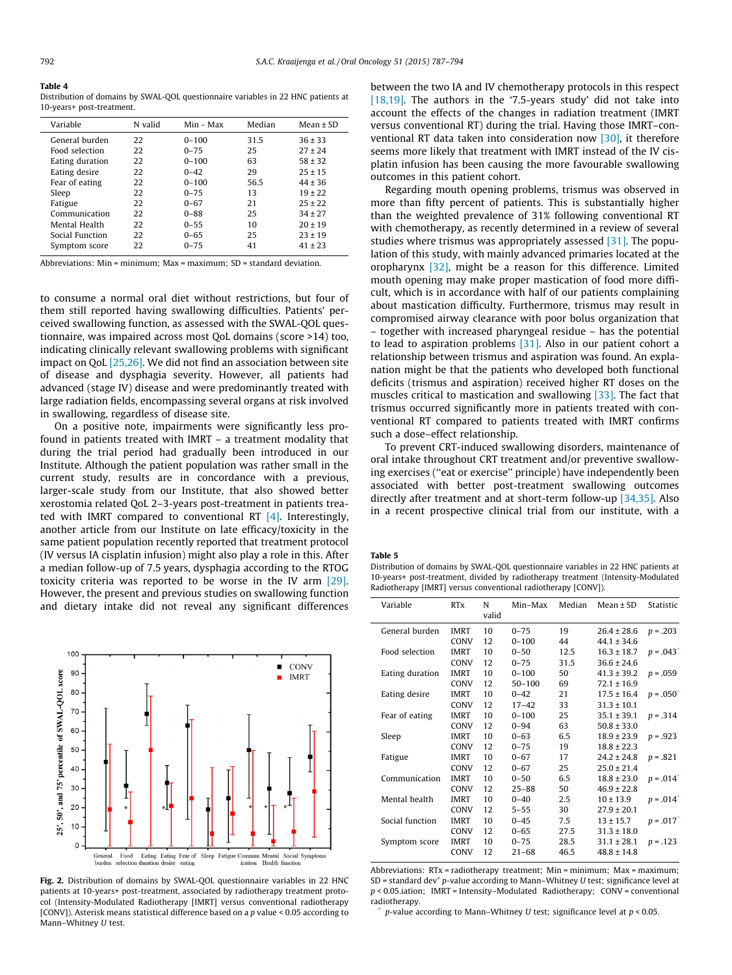#### <span id="page-6-0"></span>Table 4

Distribution of domains by SWAL-QOL questionnaire variables in 22 HNC patients at 10-years+ post-treatment.

| Variable        | N valid | Min - Max | Median | Mean $\pm$ SD |
|-----------------|---------|-----------|--------|---------------|
| General burden  | 22      | $0 - 100$ | 31.5   | $36 \pm 33$   |
| Food selection  | 22      | $0 - 75$  | 25     | $27 + 24$     |
| Eating duration | 22      | $0 - 100$ | 63     | $58 + 32$     |
| Eating desire   | 22      | $0 - 42$  | 29     | $25 \pm 15$   |
| Fear of eating  | 22      | $0 - 100$ | 56.5   | $44 \pm 36$   |
| Sleep           | 22      | $0 - 75$  | 13     | $19 \pm 22$   |
| Fatigue         | 22      | $0 - 67$  | 21     | $25 + 22$     |
| Communication   | 22      | $0 - 88$  | 25     | $34 + 27$     |
| Mental Health   | 22      | $0 - 55$  | 10     | $20 \pm 19$   |
| Social Function | 22      | $0 - 65$  | 25     | $23 \pm 19$   |
| Symptom score   | 22      | $0 - 75$  | 41     | $41 \pm 23$   |

Abbreviations: Min = minimum; Max = maximum; SD = standard deviation.

to consume a normal oral diet without restrictions, but four of them still reported having swallowing difficulties. Patients' perceived swallowing function, as assessed with the SWAL-QOL questionnaire, was impaired across most QoL domains (score >14) too, indicating clinically relevant swallowing problems with significant impact on QoL [\[25,26\].](#page-7-0) We did not find an association between site of disease and dysphagia severity. However, all patients had advanced (stage IV) disease and were predominantly treated with large radiation fields, encompassing several organs at risk involved in swallowing, regardless of disease site.

On a positive note, impairments were significantly less profound in patients treated with IMRT – a treatment modality that during the trial period had gradually been introduced in our Institute. Although the patient population was rather small in the current study, results are in concordance with a previous, larger-scale study from our Institute, that also showed better xerostomia related QoL 2–3-years post-treatment in patients treated with IMRT compared to conventional RT [\[4\].](#page-7-0) Interestingly, another article from our Institute on late efficacy/toxicity in the same patient population recently reported that treatment protocol (IV versus IA cisplatin infusion) might also play a role in this. After a median follow-up of 7.5 years, dysphagia according to the RTOG toxicity criteria was reported to be worse in the IV arm [\[29\].](#page-8-0) However, the present and previous studies on swallowing function and dietary intake did not reveal any significant differences



Fig. 2. Distribution of domains by SWAL-QOL questionnaire variables in 22 HNC patients at 10-years+ post-treatment, associated by radiotherapy treatment protocol (Intensity-Modulated Radiotherapy [IMRT] versus conventional radiotherapy [CONV]). Asterisk means statistical difference based on a p value < 0.05 according to Mann–Whitney U test.

between the two IA and IV chemotherapy protocols in this respect [\[18,19\].](#page-7-0) The authors in the '7.5-years study' did not take into account the effects of the changes in radiation treatment (IMRT versus conventional RT) during the trial. Having those IMRT–conventional RT data taken into consideration now [\[30\]](#page-8-0), it therefore seems more likely that treatment with IMRT instead of the IV cisplatin infusion has been causing the more favourable swallowing outcomes in this patient cohort.

Regarding mouth opening problems, trismus was observed in more than fifty percent of patients. This is substantially higher than the weighted prevalence of 31% following conventional RT with chemotherapy, as recently determined in a review of several studies where trismus was appropriately assessed [\[31\]](#page-8-0). The population of this study, with mainly advanced primaries located at the oropharynx [\[32\],](#page-8-0) might be a reason for this difference. Limited mouth opening may make proper mastication of food more difficult, which is in accordance with half of our patients complaining about mastication difficulty. Furthermore, trismus may result in compromised airway clearance with poor bolus organization that – together with increased pharyngeal residue – has the potential to lead to aspiration problems [\[31\].](#page-8-0) Also in our patient cohort a relationship between trismus and aspiration was found. An explanation might be that the patients who developed both functional deficits (trismus and aspiration) received higher RT doses on the muscles critical to mastication and swallowing [\[33\]](#page-8-0). The fact that trismus occurred significantly more in patients treated with conventional RT compared to patients treated with IMRT confirms such a dose–effect relationship.

To prevent CRT-induced swallowing disorders, maintenance of oral intake throughout CRT treatment and/or preventive swallowing exercises (''eat or exercise'' principle) have independently been associated with better post-treatment swallowing outcomes directly after treatment and at short-term follow-up [\[34,35\].](#page-8-0) Also in a recent prospective clinical trial from our institute, with a

#### Table 5

Distribution of domains by SWAL-QOL questionnaire variables in 22 HNC patients at 10-years+ post-treatment, divided by radiotherapy treatment (Intensity-Modulated Radiotherapy [IMRT] versus conventional radiotherapy [CONV]).

| Variable        | <b>RTx</b>  | N     | Min-Max    | Median | $Mean \pm SD$   | Statistic  |
|-----------------|-------------|-------|------------|--------|-----------------|------------|
|                 |             | valid |            |        |                 |            |
| General burden  | <b>IMRT</b> | 10    | $0 - 75$   | 19     | $26.4 \pm 28.6$ | $p = .203$ |
|                 | CONV        | 12    | $0 - 100$  | 44     | $44.1 \pm 34.6$ |            |
| Food selection  | <b>IMRT</b> | 10    | $0 - 50$   | 12.5   | $16.3 \pm 18.7$ | $p = .043$ |
|                 | CONV        | 12    | $0 - 75$   | 31.5   | $36.6 \pm 24.6$ |            |
| Eating duration | <b>IMRT</b> | 10    | $0 - 100$  | 50     | $41.3 \pm 39.2$ | $p = .059$ |
|                 | CONV        | 12    | $50 - 100$ | 69     | $72.1 \pm 16.9$ |            |
| Eating desire   | IMRT        | 10    | $0 - 42$   | 21     | $17.5 \pm 16.4$ | $p = .050$ |
|                 | CONV        | 12    | $17 - 42$  | 33     | $31.3 \pm 10.1$ |            |
| Fear of eating  | <b>IMRT</b> | 10    | $0 - 100$  | 25     | $35.1 \pm 39.1$ | $p = .314$ |
|                 | <b>CONV</b> | 12    | $0 - 94$   | 63     | $50.8 \pm 33.0$ |            |
| Sleep           | <b>IMRT</b> | 10    | $0 - 63$   | 6.5    | $18.9 \pm 23.9$ | $p = .923$ |
|                 | <b>CONV</b> | 12    | $0 - 75$   | 19     | $18.8 \pm 22.3$ |            |
| Fatigue         | <b>IMRT</b> | 10    | $0 - 67$   | 17     | $24.2 \pm 24.8$ | $p = .821$ |
|                 | <b>CONV</b> | 12    | $0 - 67$   | 25     | $25.0 \pm 21.4$ |            |
| Communication   | <b>IMRT</b> | 10    | $0 - 50$   | 6.5    | $18.8 \pm 23.0$ | $p = .014$ |
|                 | <b>CONV</b> | 12    | $25 - 88$  | 50     | $46.9 \pm 22.8$ |            |
| Mental health   | <b>IMRT</b> | 10    | $0 - 40$   | 2.5    | $10 \pm 13.9$   | $p = .014$ |
|                 | CONV        | 12    | $5 - 55$   | 30     | $27.9 \pm 20.1$ |            |
| Social function | <b>IMRT</b> | 10    | $0 - 45$   | 7.5    | $13 \pm 15.7$   | $p = .017$ |
|                 | <b>CONV</b> | 12    | $0 - 65$   | 27.5   | $31.3 \pm 18.0$ |            |
| Symptom score   | <b>IMRT</b> | 10    | $0 - 75$   | 28.5   | $31.1 \pm 28.1$ | $p = .123$ |
|                 | CONV        | 12    | $21 - 68$  | 46.5   | $48.8 \pm 14.8$ |            |
|                 |             |       |            |        |                 |            |

Abbreviations: RTx = radiotherapy treatment; Min = minimum; Max = maximum;  $SD$  = standard dev<sup>\*</sup> p-value according to Mann–Whitney U test; significance level at  $p < 0.05$ .iation; IMRT = Intensity-Modulated Radiotherapy; CONV = conventional radiotherapy.

 $p$ -value according to Mann–Whitney U test; significance level at  $p < 0.05$ .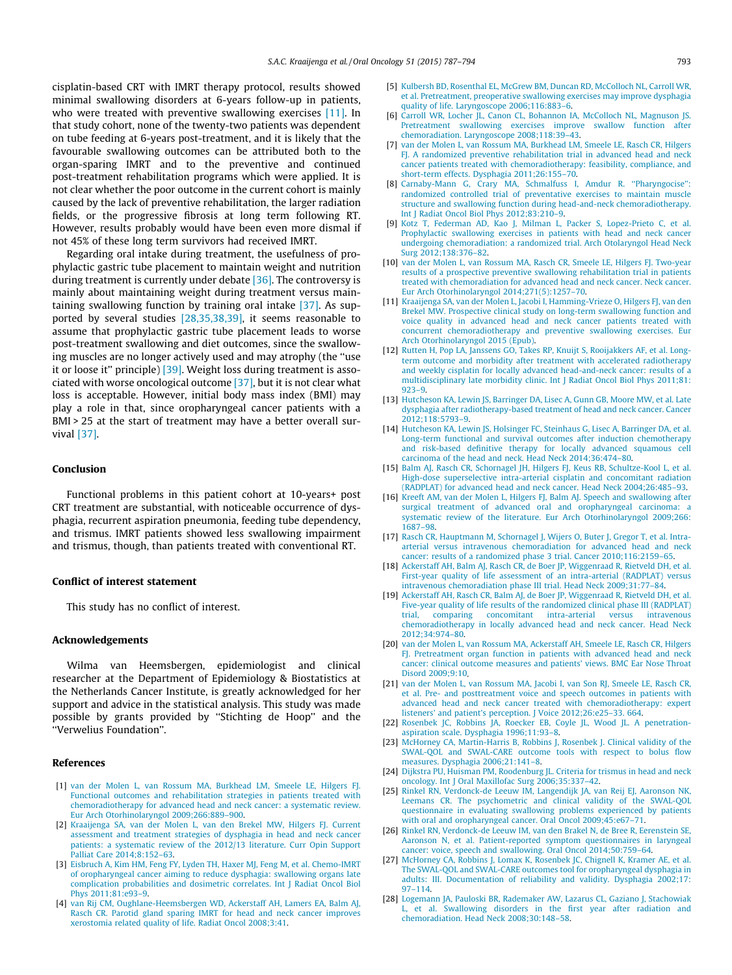<span id="page-7-0"></span>cisplatin-based CRT with IMRT therapy protocol, results showed minimal swallowing disorders at 6-years follow-up in patients, who were treated with preventive swallowing exercises [11]. In that study cohort, none of the twenty-two patients was dependent on tube feeding at 6-years post-treatment, and it is likely that the favourable swallowing outcomes can be attributed both to the organ-sparing IMRT and to the preventive and continued post-treatment rehabilitation programs which were applied. It is not clear whether the poor outcome in the current cohort is mainly caused by the lack of preventive rehabilitation, the larger radiation fields, or the progressive fibrosis at long term following RT. However, results probably would have been even more dismal if not 45% of these long term survivors had received IMRT.

Regarding oral intake during treatment, the usefulness of prophylactic gastric tube placement to maintain weight and nutrition during treatment is currently under debate [\[36\]](#page-8-0). The controversy is mainly about maintaining weight during treatment versus maintaining swallowing function by training oral intake [\[37\]](#page-8-0). As supported by several studies [28,35,38,39], it seems reasonable to assume that prophylactic gastric tube placement leads to worse post-treatment swallowing and diet outcomes, since the swallowing muscles are no longer actively used and may atrophy (the ''use it or loose it'' principle) [\[39\].](#page-8-0) Weight loss during treatment is associated with worse oncological outcome [\[37\],](#page-8-0) but it is not clear what loss is acceptable. However, initial body mass index (BMI) may play a role in that, since oropharyngeal cancer patients with a BMI > 25 at the start of treatment may have a better overall survival [\[37\].](#page-8-0)

# Conclusion

Functional problems in this patient cohort at 10-years+ post CRT treatment are substantial, with noticeable occurrence of dysphagia, recurrent aspiration pneumonia, feeding tube dependency, and trismus. IMRT patients showed less swallowing impairment and trismus, though, than patients treated with conventional RT.

#### Conflict of interest statement

This study has no conflict of interest.

#### Acknowledgements

Wilma van Heemsbergen, epidemiologist and clinical researcher at the Department of Epidemiology & Biostatistics at the Netherlands Cancer Institute, is greatly acknowledged for her support and advice in the statistical analysis. This study was made possible by grants provided by ''Stichting de Hoop'' and the ''Verwelius Foundation''.

### References

- [1] [van der Molen L, van Rossum MA, Burkhead LM, Smeele LE, Hilgers FJ.](http://refhub.elsevier.com/S1368-8375(15)00210-9/h0005) [Functional outcomes and rehabilitation strategies in patients treated with](http://refhub.elsevier.com/S1368-8375(15)00210-9/h0005) [chemoradiotherapy for advanced head and neck cancer: a systematic review.](http://refhub.elsevier.com/S1368-8375(15)00210-9/h0005) [Eur Arch Otorhinolaryngol 2009;266:889–900.](http://refhub.elsevier.com/S1368-8375(15)00210-9/h0005)
- [2] [Kraaijenga SA, van der Molen L, van den Brekel MW, Hilgers FJ. Current](http://refhub.elsevier.com/S1368-8375(15)00210-9/h0010) [assessment and treatment strategies of dysphagia in head and neck cancer](http://refhub.elsevier.com/S1368-8375(15)00210-9/h0010) [patients: a systematic review of the 2012/13 literature. Curr Opin Support](http://refhub.elsevier.com/S1368-8375(15)00210-9/h0010) [Palliat Care 2014;8:152–63.](http://refhub.elsevier.com/S1368-8375(15)00210-9/h0010)
- [3] [Eisbruch A, Kim HM, Feng FY, Lyden TH, Haxer MJ, Feng M, et al. Chemo-IMRT](http://refhub.elsevier.com/S1368-8375(15)00210-9/h0015) [of oropharyngeal cancer aiming to reduce dysphagia: swallowing organs late](http://refhub.elsevier.com/S1368-8375(15)00210-9/h0015) [complication probabilities and dosimetric correlates. Int J Radiat Oncol Biol](http://refhub.elsevier.com/S1368-8375(15)00210-9/h0015) [Phys 2011;81:e93–9.](http://refhub.elsevier.com/S1368-8375(15)00210-9/h0015)
- [4] [van Rij CM, Oughlane-Heemsbergen WD, Ackerstaff AH, Lamers EA, Balm AJ,](http://refhub.elsevier.com/S1368-8375(15)00210-9/h0020) [Rasch CR. Parotid gland sparing IMRT for head and neck cancer improves](http://refhub.elsevier.com/S1368-8375(15)00210-9/h0020) [xerostomia related quality of life. Radiat Oncol 2008;3:41](http://refhub.elsevier.com/S1368-8375(15)00210-9/h0020).
- [5] [Kulbersh BD, Rosenthal EL, McGrew BM, Duncan RD, McColloch NL, Carroll WR,](http://refhub.elsevier.com/S1368-8375(15)00210-9/h0025) [et al. Pretreatment, preoperative swallowing exercises may improve dysphagia](http://refhub.elsevier.com/S1368-8375(15)00210-9/h0025) [quality of life. Laryngoscope 2006;116:883–6.](http://refhub.elsevier.com/S1368-8375(15)00210-9/h0025)
- [6] [Carroll WR, Locher JL, Canon CL, Bohannon IA, McColloch NL, Magnuson JS.](http://refhub.elsevier.com/S1368-8375(15)00210-9/h0030) [Pretreatment swallowing exercises improve swallow function after](http://refhub.elsevier.com/S1368-8375(15)00210-9/h0030) [chemoradiation. Laryngoscope 2008;118:39–43](http://refhub.elsevier.com/S1368-8375(15)00210-9/h0030).
- [7] [van der Molen L, van Rossum MA, Burkhead LM, Smeele LE, Rasch CR, Hilgers](http://refhub.elsevier.com/S1368-8375(15)00210-9/h0035) [FJ. A randomized preventive rehabilitation trial in advanced head and neck](http://refhub.elsevier.com/S1368-8375(15)00210-9/h0035) [cancer patients treated with chemoradiotherapy: feasibility, compliance, and](http://refhub.elsevier.com/S1368-8375(15)00210-9/h0035) [short-term effects. Dysphagia 2011;26:155–70.](http://refhub.elsevier.com/S1368-8375(15)00210-9/h0035)
- [8] [Carnaby-Mann G, Crary MA, Schmalfuss I, Amdur R. ''Pharyngocise'':](http://refhub.elsevier.com/S1368-8375(15)00210-9/h0040) [randomized controlled trial of preventative exercises to maintain muscle](http://refhub.elsevier.com/S1368-8375(15)00210-9/h0040) [structure and swallowing function during head-and-neck chemoradiotherapy.](http://refhub.elsevier.com/S1368-8375(15)00210-9/h0040) [Int J Radiat Oncol Biol Phys 2012;83:210–9.](http://refhub.elsevier.com/S1368-8375(15)00210-9/h0040)
- [9] [Kotz T, Federman AD, Kao J, Milman L, Packer S, Lopez-Prieto C, et al.](http://refhub.elsevier.com/S1368-8375(15)00210-9/h0045) [Prophylactic swallowing exercises in patients with head and neck cancer](http://refhub.elsevier.com/S1368-8375(15)00210-9/h0045) [undergoing chemoradiation: a randomized trial. Arch Otolaryngol Head Neck](http://refhub.elsevier.com/S1368-8375(15)00210-9/h0045) [Surg 2012;138:376–82](http://refhub.elsevier.com/S1368-8375(15)00210-9/h0045).
- [10] [van der Molen L, van Rossum MA, Rasch CR, Smeele LE, Hilgers FJ. Two-year](http://refhub.elsevier.com/S1368-8375(15)00210-9/h0050) [results of a prospective preventive swallowing rehabilitation trial in patients](http://refhub.elsevier.com/S1368-8375(15)00210-9/h0050) [treated with chemoradiation for advanced head and neck cancer. Neck cancer.](http://refhub.elsevier.com/S1368-8375(15)00210-9/h0050) [Eur Arch Otorhinolaryngol 2014;271\(5\):1257–70](http://refhub.elsevier.com/S1368-8375(15)00210-9/h0050).
- [11] [Kraaijenga SA, van der Molen L, Jacobi I, Hamming-Vrieze O, Hilgers FJ, van den](http://refhub.elsevier.com/S1368-8375(15)00210-9/h0055) [Brekel MW. Prospective clinical study on long-term swallowing function and](http://refhub.elsevier.com/S1368-8375(15)00210-9/h0055) [voice quality in advanced head and neck cancer patients treated with](http://refhub.elsevier.com/S1368-8375(15)00210-9/h0055) [concurrent chemoradiotherapy and preventive swallowing exercises. Eur](http://refhub.elsevier.com/S1368-8375(15)00210-9/h0055) [Arch Otorhinolaryngol 2015 \(Epub\).](http://refhub.elsevier.com/S1368-8375(15)00210-9/h0055)
- [12] [Rutten H, Pop LA, Janssens GO, Takes RP, Knuijt S, Rooijakkers AF, et al. Long](http://refhub.elsevier.com/S1368-8375(15)00210-9/h0060)[term outcome and morbidity after treatment with accelerated radiotherapy](http://refhub.elsevier.com/S1368-8375(15)00210-9/h0060) and weekly cisplatin for locally advanced head-and-neck cancer: results of [multidisciplinary late morbidity clinic. Int J Radiat Oncol Biol Phys 2011;81:](http://refhub.elsevier.com/S1368-8375(15)00210-9/h0060) [923–9](http://refhub.elsevier.com/S1368-8375(15)00210-9/h0060).
- [13] [Hutcheson KA, Lewin JS, Barringer DA, Lisec A, Gunn GB, Moore MW, et al. Late](http://refhub.elsevier.com/S1368-8375(15)00210-9/h0065) [dysphagia after radiotherapy-based treatment of head and neck cancer. Cancer](http://refhub.elsevier.com/S1368-8375(15)00210-9/h0065) [2012;118:5793–9](http://refhub.elsevier.com/S1368-8375(15)00210-9/h0065).
- [14] [Hutcheson KA, Lewin JS, Holsinger FC, Steinhaus G, Lisec A, Barringer DA, et al.](http://refhub.elsevier.com/S1368-8375(15)00210-9/h0070) [Long-term functional and survival outcomes after induction chemotherapy](http://refhub.elsevier.com/S1368-8375(15)00210-9/h0070) [and risk-based definitive therapy for locally advanced squamous cell](http://refhub.elsevier.com/S1368-8375(15)00210-9/h0070) [carcinoma of the head and neck. Head Neck 2014;36:474–80.](http://refhub.elsevier.com/S1368-8375(15)00210-9/h0070)
- [15] [Balm AJ, Rasch CR, Schornagel JH, Hilgers FJ, Keus RB, Schultze-Kool L, et al.](http://refhub.elsevier.com/S1368-8375(15)00210-9/h0075) [High-dose superselective intra-arterial cisplatin and concomitant radiation](http://refhub.elsevier.com/S1368-8375(15)00210-9/h0075) [\(RADPLAT\) for advanced head and neck cancer. Head Neck 2004;26:485–93](http://refhub.elsevier.com/S1368-8375(15)00210-9/h0075).
- [16] [Kreeft AM, van der Molen L, Hilgers FJ, Balm AJ. Speech and swallowing after](http://refhub.elsevier.com/S1368-8375(15)00210-9/h0080) [surgical treatment of advanced oral and oropharyngeal carcinoma: a](http://refhub.elsevier.com/S1368-8375(15)00210-9/h0080) [systematic review of the literature. Eur Arch Otorhinolaryngol 2009;266:](http://refhub.elsevier.com/S1368-8375(15)00210-9/h0080) [1687–98.](http://refhub.elsevier.com/S1368-8375(15)00210-9/h0080)
- [17] [Rasch CR, Hauptmann M, Schornagel J, Wijers O, Buter J, Gregor T, et al. Intra](http://refhub.elsevier.com/S1368-8375(15)00210-9/h0085)[arterial versus intravenous chemoradiation for advanced head and neck](http://refhub.elsevier.com/S1368-8375(15)00210-9/h0085) [cancer: results of a randomized phase 3 trial. Cancer 2010;116:2159–65.](http://refhub.elsevier.com/S1368-8375(15)00210-9/h0085)
- [18] [Ackerstaff AH, Balm AJ, Rasch CR, de Boer JP, Wiggenraad R, Rietveld DH, et al.](http://refhub.elsevier.com/S1368-8375(15)00210-9/h0090) [First-year quality of life assessment of an intra-arterial \(RADPLAT\) versus](http://refhub.elsevier.com/S1368-8375(15)00210-9/h0090) [intravenous chemoradiation phase III trial. Head Neck 2009;31:77–84](http://refhub.elsevier.com/S1368-8375(15)00210-9/h0090).
- [19] [Ackerstaff AH, Rasch CR, Balm AJ, de Boer JP, Wiggenraad R, Rietveld DH, et al.](http://refhub.elsevier.com/S1368-8375(15)00210-9/h0095) [Five-year quality of life results of the randomized clinical phase III \(RADPLAT\)](http://refhub.elsevier.com/S1368-8375(15)00210-9/h0095) [trial, comparing concomitant intra-arterial versus intravenous](http://refhub.elsevier.com/S1368-8375(15)00210-9/h0095) [chemoradiotherapy in locally advanced head and neck cancer. Head Neck](http://refhub.elsevier.com/S1368-8375(15)00210-9/h0095) [2012;34:974–80](http://refhub.elsevier.com/S1368-8375(15)00210-9/h0095).
- [20] [van der Molen L, van Rossum MA, Ackerstaff AH, Smeele LE, Rasch CR, Hilgers](http://refhub.elsevier.com/S1368-8375(15)00210-9/h0100) [FJ. Pretreatment organ function in patients with advanced head and neck](http://refhub.elsevier.com/S1368-8375(15)00210-9/h0100) [cancer: clinical outcome measures and patients' views. BMC Ear Nose Throat](http://refhub.elsevier.com/S1368-8375(15)00210-9/h0100) [Disord 2009;9:10](http://refhub.elsevier.com/S1368-8375(15)00210-9/h0100).
- [21] [van der Molen L, van Rossum MA, Jacobi I, van Son RJ, Smeele LE, Rasch CR,](http://refhub.elsevier.com/S1368-8375(15)00210-9/h0105) [et al. Pre- and posttreatment voice and speech outcomes in patients with](http://refhub.elsevier.com/S1368-8375(15)00210-9/h0105) [advanced head and neck cancer treated with chemoradiotherapy: expert](http://refhub.elsevier.com/S1368-8375(15)00210-9/h0105) [listeners' and patient's perception. J Voice 2012;26:e25–33. 664](http://refhub.elsevier.com/S1368-8375(15)00210-9/h0105).
- [22] [Rosenbek JC, Robbins JA, Roecker EB, Coyle JL, Wood JL. A penetration](http://refhub.elsevier.com/S1368-8375(15)00210-9/h0110)[aspiration scale. Dysphagia 1996;11:93–8.](http://refhub.elsevier.com/S1368-8375(15)00210-9/h0110)
- [23] [McHorney CA, Martin-Harris B, Robbins J, Rosenbek J. Clinical validity of the](http://refhub.elsevier.com/S1368-8375(15)00210-9/h0115) [SWAL-QOL and SWAL-CARE outcome tools with respect to bolus flow](http://refhub.elsevier.com/S1368-8375(15)00210-9/h0115) [measures. Dysphagia 2006;21:141–8.](http://refhub.elsevier.com/S1368-8375(15)00210-9/h0115)
- [24] [Dijkstra PU, Huisman PM, Roodenburg JL. Criteria for trismus in head and neck](http://refhub.elsevier.com/S1368-8375(15)00210-9/h0120) [oncology. Int J Oral Maxillofac Surg 2006;35:337–42](http://refhub.elsevier.com/S1368-8375(15)00210-9/h0120).
- [25] [Rinkel RN, Verdonck-de Leeuw IM, Langendijk JA, van Reij EJ, Aaronson NK,](http://refhub.elsevier.com/S1368-8375(15)00210-9/h0125) [Leemans CR. The psychometric and clinical validity of the SWAL-QOL](http://refhub.elsevier.com/S1368-8375(15)00210-9/h0125) [questionnaire in evaluating swallowing problems experienced by patients](http://refhub.elsevier.com/S1368-8375(15)00210-9/h0125) [with oral and oropharyngeal cancer. Oral Oncol 2009;45:e67–71](http://refhub.elsevier.com/S1368-8375(15)00210-9/h0125).
- [26] [Rinkel RN, Verdonck-de Leeuw IM, van den Brakel N, de Bree R, Eerenstein SE,](http://refhub.elsevier.com/S1368-8375(15)00210-9/h0130) [Aaronson N, et al. Patient-reported symptom questionnaires in laryngeal](http://refhub.elsevier.com/S1368-8375(15)00210-9/h0130) [cancer: voice, speech and swallowing. Oral Oncol 2014;50:759–64.](http://refhub.elsevier.com/S1368-8375(15)00210-9/h0130)
- [27] [McHorney CA, Robbins J, Lomax K, Rosenbek JC, Chignell K, Kramer AE, et al.](http://refhub.elsevier.com/S1368-8375(15)00210-9/h0135) [The SWAL-QOL and SWAL-CARE outcomes tool for oropharyngeal dysphagia in](http://refhub.elsevier.com/S1368-8375(15)00210-9/h0135) [adults: III. Documentation of reliability and validity. Dysphagia 2002;17:](http://refhub.elsevier.com/S1368-8375(15)00210-9/h0135) [97–114](http://refhub.elsevier.com/S1368-8375(15)00210-9/h0135).
- [28] [Logemann JA, Pauloski BR, Rademaker AW, Lazarus CL, Gaziano J, Stachowiak](http://refhub.elsevier.com/S1368-8375(15)00210-9/h0140) et al. Swallowing disorders in the first year after radiation and [chemoradiation. Head Neck 2008;30:148–58.](http://refhub.elsevier.com/S1368-8375(15)00210-9/h0140)